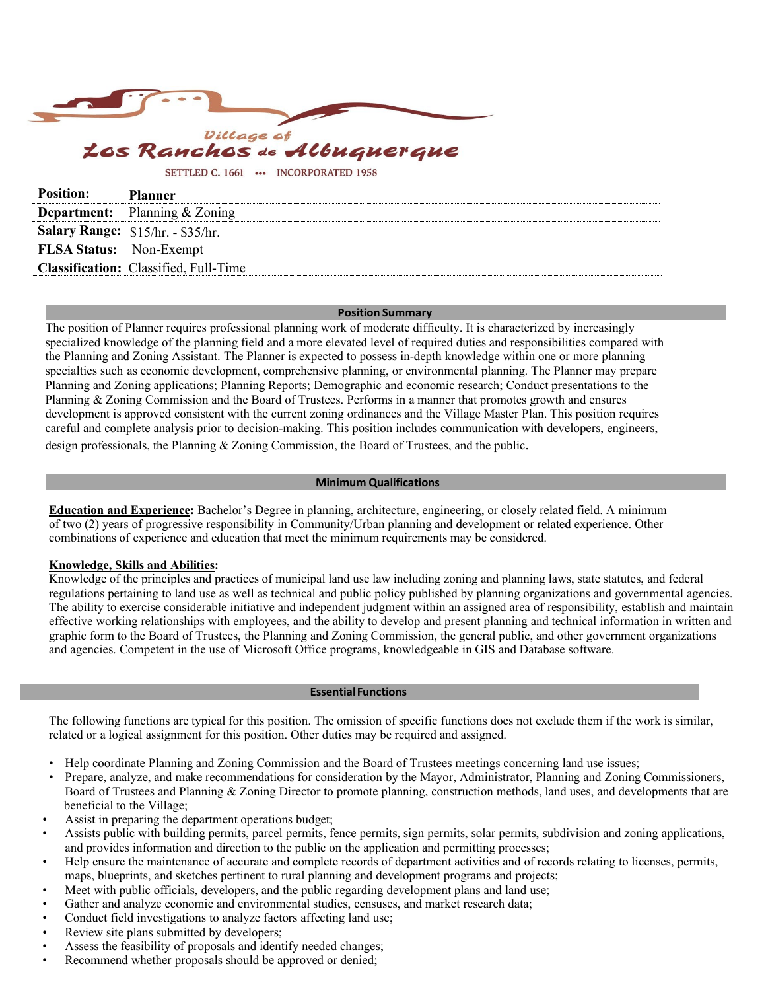

# Albuquerque

#### SETTLED C. 1661 ... INCORPORATED 1958

| <b>Position:</b>               | <b>Planner</b>                               |
|--------------------------------|----------------------------------------------|
|                                | <b>Department:</b> Planning & Zoning         |
|                                | <b>Salary Range:</b> $$15/hr. - $35/hr.$     |
| <b>FLSA Status:</b> Non-Exempt |                                              |
|                                | <b>Classification:</b> Classified, Full-Time |

#### **Position Summary**

The position of Planner requires professional planning work of moderate difficulty. It is characterized by increasingly specialized knowledge of the planning field and a more elevated level of required duties and responsibilities compared with the Planning and Zoning Assistant. The Planner is expected to possess in-depth knowledge within one or more planning specialties such as economic development, comprehensive planning, or environmental planning. The Planner may prepare Planning and Zoning applications; Planning Reports; Demographic and economic research; Conduct presentations to the Planning & Zoning Commission and the Board of Trustees. Performs in a manner that promotes growth and ensures development is approved consistent with the current zoning ordinances and the Village Master Plan. This position requires careful and complete analysis prior to decision-making. This position includes communication with developers, engineers, design professionals, the Planning & Zoning Commission, the Board of Trustees, and the public.

## **Minimum Qualifications**

**Education and Experience:** Bachelor's Degree in planning, architecture, engineering, or closely related field. A minimum of two (2) years of progressive responsibility in Community/Urban planning and development or related experience. Other combinations of experience and education that meet the minimum requirements may be considered.

## **Knowledge, Skills and Abilities:**

Knowledge of the principles and practices of municipal land use law including zoning and planning laws, state statutes, and federal regulations pertaining to land use as well as technical and public policy published by planning organizations and governmental agencies. The ability to exercise considerable initiative and independent judgment within an assigned area of responsibility, establish and maintain effective working relationships with employees, and the ability to develop and present planning and technical information in written and graphic form to the Board of Trustees, the Planning and Zoning Commission, the general public, and other government organizations and agencies. Competent in the use of Microsoft Office programs, knowledgeable in GIS and Database software.

#### **EssentialFunctions**

The following functions are typical for this position. The omission of specific functions does not exclude them if the work is similar, related or a logical assignment for this position. Other duties may be required and assigned.

- Help coordinate Planning and Zoning Commission and the Board of Trustees meetings concerning land use issues;
- Prepare, analyze, and make recommendations for consideration by the Mayor, Administrator, Planning and Zoning Commissioners, Board of Trustees and Planning & Zoning Director to promote planning, construction methods, land uses, and developments that are beneficial to the Village;
- Assist in preparing the department operations budget;
- Assists public with building permits, parcel permits, fence permits, sign permits, solar permits, subdivision and zoning applications, and provides information and direction to the public on the application and permitting processes;
- Help ensure the maintenance of accurate and complete records of department activities and of records relating to licenses, permits, maps, blueprints, and sketches pertinent to rural planning and development programs and projects;
- Meet with public officials, developers, and the public regarding development plans and land use;
- Gather and analyze economic and environmental studies, censuses, and market research data;
- Conduct field investigations to analyze factors affecting land use;
- Review site plans submitted by developers;
- Assess the feasibility of proposals and identify needed changes;
- Recommend whether proposals should be approved or denied;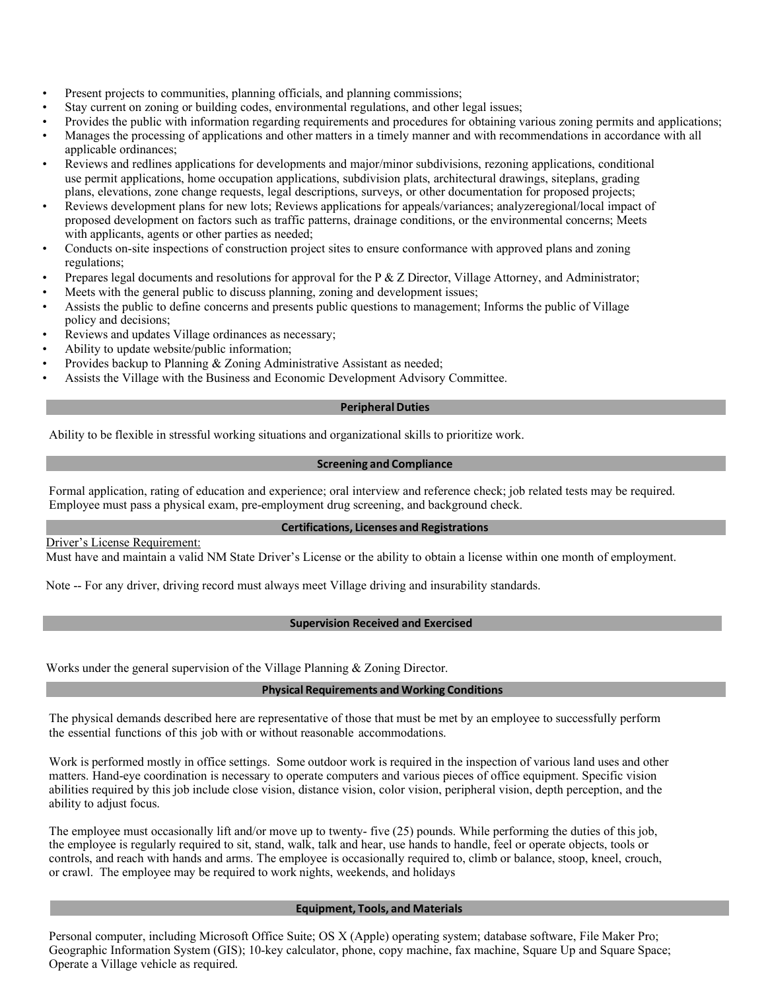- Present projects to communities, planning officials, and planning commissions;
- Stay current on zoning or building codes, environmental regulations, and other legal issues;
- Provides the public with information regarding requirements and procedures for obtaining various zoning permits and applications;
- Manages the processing of applications and other matters in a timely manner and with recommendations in accordance with all applicable ordinances;
- Reviews and redlines applications for developments and major/minor subdivisions, rezoning applications, conditional use permit applications, home occupation applications, subdivision plats, architectural drawings, siteplans, grading plans, elevations, zone change requests, legal descriptions, surveys, or other documentation for proposed projects;
- Reviews development plans for new lots; Reviews applications for appeals/variances; analyzeregional/local impact of proposed development on factors such as traffic patterns, drainage conditions, or the environmental concerns; Meets with applicants, agents or other parties as needed;
- Conducts on-site inspections of construction project sites to ensure conformance with approved plans and zoning regulations;
- Prepares legal documents and resolutions for approval for the P & Z Director, Village Attorney, and Administrator;
- Meets with the general public to discuss planning, zoning and development issues;
- Assists the public to define concerns and presents public questions to management; Informs the public of Village policy and decisions;
- Reviews and updates Village ordinances as necessary;
- Ability to update website/public information;
- Provides backup to Planning & Zoning Administrative Assistant as needed;
- Assists the Village with the Business and Economic Development Advisory Committee.

# **Peripheral Duties**

Ability to be flexible in stressful working situations and organizational skills to prioritize work.

# **Screening and Compliance**

Formal application, rating of education and experience; oral interview and reference check; job related tests may be required. Employee must pass a physical exam, pre-employment drug screening, and background check.

# **Certifications, Licenses and Registrations**

Driver's License Requirement:

Must have and maintain a valid NM State Driver's License or the ability to obtain a license within one month of employment.

Note -- For any driver, driving record must always meet Village driving and insurability standards.

# **Supervision Received and Exercised**

Works under the general supervision of the Village Planning & Zoning Director.

## **Physical Requirements and Working Conditions**

The physical demands described here are representative of those that must be met by an employee to successfully perform the essential functions of this job with or without reasonable accommodations.

Work is performed mostly in office settings. Some outdoor work is required in the inspection of various land uses and other matters. Hand-eye coordination is necessary to operate computers and various pieces of office equipment. Specific vision abilities required by this job include close vision, distance vision, color vision, peripheral vision, depth perception, and the ability to adjust focus.

The employee must occasionally lift and/or move up to twenty- five (25) pounds. While performing the duties of this job, the employee is regularly required to sit, stand, walk, talk and hear, use hands to handle, feel or operate objects, tools or controls, and reach with hands and arms. The employee is occasionally required to, climb or balance, stoop, kneel, crouch, or crawl. The employee may be required to work nights, weekends, and holidays

## **Equipment, Tools, and Materials**

Personal computer, including Microsoft Office Suite; OS X (Apple) operating system; database software, File Maker Pro; Geographic Information System (GIS); 10-key calculator, phone, copy machine, fax machine, Square Up and Square Space; Operate a Village vehicle as required.